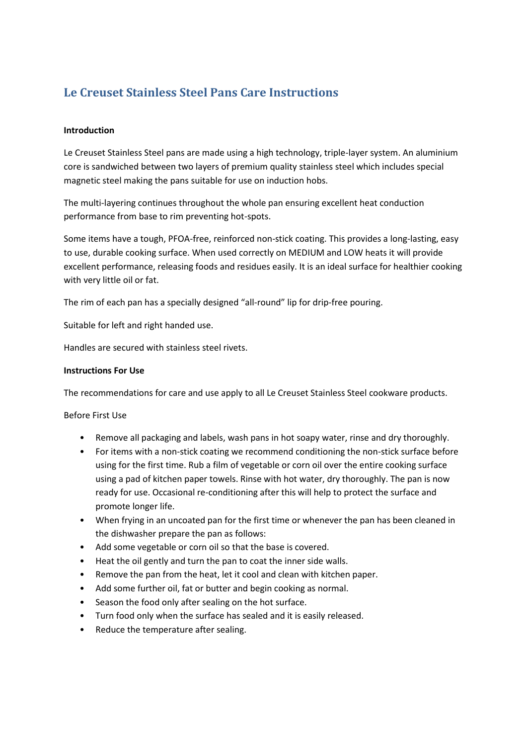# **Le Creuset Stainless Steel Pans Care Instructions**

## **Introduction**

Le Creuset Stainless Steel pans are made using a high technology, triple-layer system. An aluminium core is sandwiched between two layers of premium quality stainless steel which includes special magnetic steel making the pans suitable for use on induction hobs.

The multi-layering continues throughout the whole pan ensuring excellent heat conduction performance from base to rim preventing hot-spots.

Some items have a tough, PFOA-free, reinforced non-stick coating. This provides a long-lasting, easy to use, durable cooking surface. When used correctly on MEDIUM and LOW heats it will provide excellent performance, releasing foods and residues easily. It is an ideal surface for healthier cooking with very little oil or fat.

The rim of each pan has a specially designed "all-round" lip for drip-free pouring.

Suitable for left and right handed use.

Handles are secured with stainless steel rivets.

#### **Instructions For Use**

The recommendations for care and use apply to all Le Creuset Stainless Steel cookware products.

Before First Use

- Remove all packaging and labels, wash pans in hot soapy water, rinse and dry thoroughly.
- For items with a non-stick coating we recommend conditioning the non-stick surface before using for the first time. Rub a film of vegetable or corn oil over the entire cooking surface using a pad of kitchen paper towels. Rinse with hot water, dry thoroughly. The pan is now ready for use. Occasional re-conditioning after this will help to protect the surface and promote longer life.
- When frying in an uncoated pan for the first time or whenever the pan has been cleaned in the dishwasher prepare the pan as follows:
- Add some vegetable or corn oil so that the base is covered.
- Heat the oil gently and turn the pan to coat the inner side walls.
- Remove the pan from the heat, let it cool and clean with kitchen paper.
- Add some further oil, fat or butter and begin cooking as normal.
- Season the food only after sealing on the hot surface.
- Turn food only when the surface has sealed and it is easily released.
- Reduce the temperature after sealing.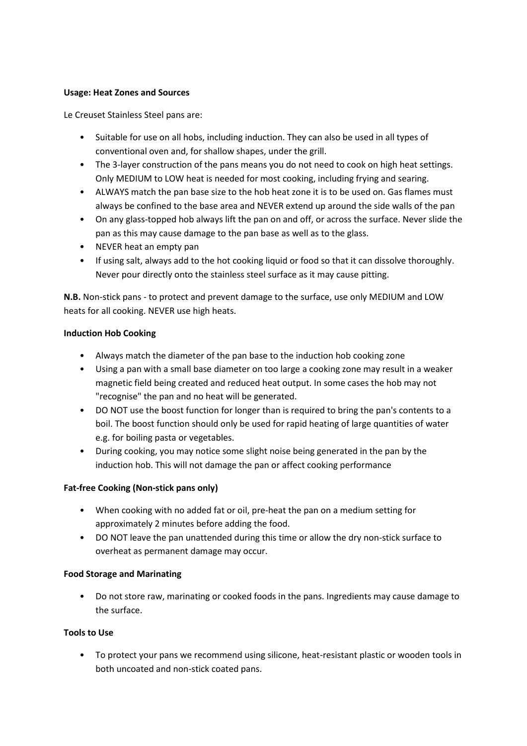## **Usage: Heat Zones and Sources**

Le Creuset Stainless Steel pans are:

- Suitable for use on all hobs, including induction. They can also be used in all types of conventional oven and, for shallow shapes, under the grill.
- The 3-layer construction of the pans means you do not need to cook on high heat settings. Only MEDIUM to LOW heat is needed for most cooking, including frying and searing.
- ALWAYS match the pan base size to the hob heat zone it is to be used on. Gas flames must always be confined to the base area and NEVER extend up around the side walls of the pan
- On any glass-topped hob always lift the pan on and off, or across the surface. Never slide the pan as this may cause damage to the pan base as well as to the glass.
- NEVER heat an empty pan
- If using salt, always add to the hot cooking liquid or food so that it can dissolve thoroughly. Never pour directly onto the stainless steel surface as it may cause pitting.

**N.B.** Non-stick pans - to protect and prevent damage to the surface, use only MEDIUM and LOW heats for all cooking. NEVER use high heats.

## **Induction Hob Cooking**

- Always match the diameter of the pan base to the induction hob cooking zone
- Using a pan with a small base diameter on too large a cooking zone may result in a weaker magnetic field being created and reduced heat output. In some cases the hob may not "recognise" the pan and no heat will be generated.
- DO NOT use the boost function for longer than is required to bring the pan's contents to a boil. The boost function should only be used for rapid heating of large quantities of water e.g. for boiling pasta or vegetables.
- During cooking, you may notice some slight noise being generated in the pan by the induction hob. This will not damage the pan or affect cooking performance

# **Fat-free Cooking (Non-stick pans only)**

- When cooking with no added fat or oil, pre-heat the pan on a medium setting for approximately 2 minutes before adding the food.
- DO NOT leave the pan unattended during this time or allow the dry non-stick surface to overheat as permanent damage may occur.

# **Food Storage and Marinating**

• Do not store raw, marinating or cooked foods in the pans. Ingredients may cause damage to the surface.

# **Tools to Use**

• To protect your pans we recommend using silicone, heat-resistant plastic or wooden tools in both uncoated and non-stick coated pans.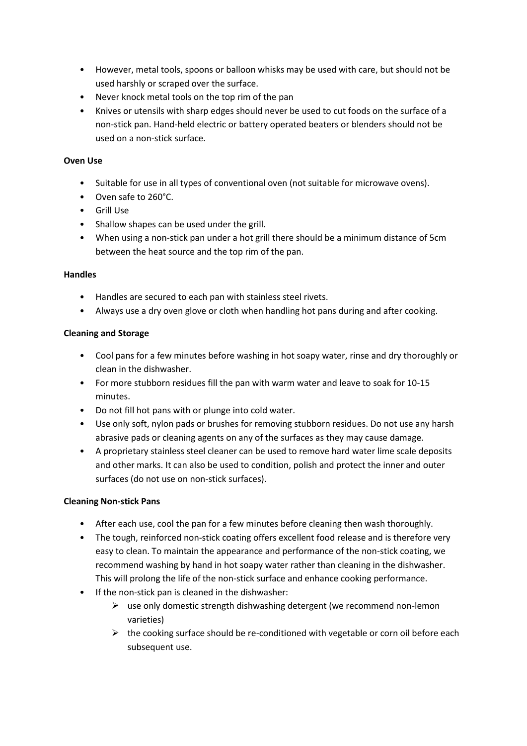- However, metal tools, spoons or balloon whisks may be used with care, but should not be used harshly or scraped over the surface.
- Never knock metal tools on the top rim of the pan
- Knives or utensils with sharp edges should never be used to cut foods on the surface of a non-stick pan. Hand-held electric or battery operated beaters or blenders should not be used on a non-stick surface.

## **Oven Use**

- Suitable for use in all types of conventional oven (not suitable for microwave ovens).
- Oven safe to 260°C.
- Grill Use
- Shallow shapes can be used under the grill.
- When using a non-stick pan under a hot grill there should be a minimum distance of 5cm between the heat source and the top rim of the pan.

## **Handles**

- Handles are secured to each pan with stainless steel rivets.
- Always use a dry oven glove or cloth when handling hot pans during and after cooking.

# **Cleaning and Storage**

- Cool pans for a few minutes before washing in hot soapy water, rinse and dry thoroughly or clean in the dishwasher.
- For more stubborn residues fill the pan with warm water and leave to soak for 10-15 minutes.
- Do not fill hot pans with or plunge into cold water.
- Use only soft, nylon pads or brushes for removing stubborn residues. Do not use any harsh abrasive pads or cleaning agents on any of the surfaces as they may cause damage.
- A proprietary stainless steel cleaner can be used to remove hard water lime scale deposits and other marks. It can also be used to condition, polish and protect the inner and outer surfaces (do not use on non-stick surfaces).

# **Cleaning Non-stick Pans**

- After each use, cool the pan for a few minutes before cleaning then wash thoroughly.
- The tough, reinforced non-stick coating offers excellent food release and is therefore very easy to clean. To maintain the appearance and performance of the non-stick coating, we recommend washing by hand in hot soapy water rather than cleaning in the dishwasher. This will prolong the life of the non-stick surface and enhance cooking performance.
- If the non-stick pan is cleaned in the dishwasher:
	- $\triangleright$  use only domestic strength dishwashing detergent (we recommend non-lemon varieties)
	- $\triangleright$  the cooking surface should be re-conditioned with vegetable or corn oil before each subsequent use.